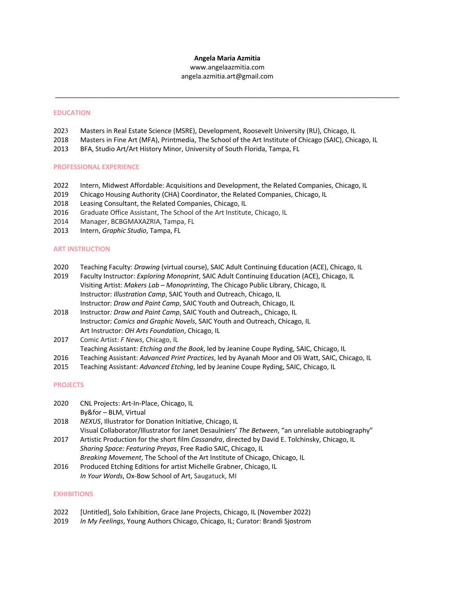### **Angela Maria Azmitia**

www.angelaazmitia.com angela.azmitia.art@gmail.com

 $\_$  ,  $\_$  ,  $\_$  ,  $\_$  ,  $\_$  ,  $\_$  ,  $\_$  ,  $\_$  ,  $\_$  ,  $\_$  ,  $\_$  ,  $\_$  ,  $\_$  ,  $\_$  ,  $\_$  ,  $\_$  ,  $\_$  ,  $\_$  ,  $\_$  ,  $\_$  ,  $\_$  ,  $\_$  ,  $\_$  ,  $\_$  ,  $\_$  ,  $\_$  ,  $\_$  ,  $\_$  ,  $\_$  ,  $\_$  ,  $\_$  ,  $\_$  ,  $\_$  ,  $\_$  ,  $\_$  ,  $\_$  ,  $\_$  ,

### **EDUCATION**

- 2023 Masters in Real Estate Science (MSRE), Development, Roosevelt University (RU), Chicago, IL
- 2018 Masters in Fine Art (MFA), Printmedia, The School of the Art Institute of Chicago (SAIC), Chicago, IL
- 2013 BFA, Studio Art/Art History Minor, University of South Florida, Tampa, FL

#### **PROFESSIONAL EXPERIENCE**

- 2022 Intern, Midwest Affordable: Acquisitions and Development, the Related Companies, Chicago, IL
- 2019 Chicago Housing Authority (CHA) Coordinator, the Related Companies, Chicago, IL
- 2018 Leasing Consultant, the Related Companies, Chicago, IL
- 2016 Graduate Office Assistant, The School of the Art Institute, Chicago, IL
- 2014 Manager, BCBGMAXAZRIA, Tampa, FL
- 2013 Intern, *Graphic Studio*, Tampa, FL

### **ART INSTRUCTION**

- 2020 Teaching Faculty: *Drawing* (virtual course), SAIC Adult Continuing Education (ACE), Chicago, IL
- 2019 Faculty Instructor: *Exploring Monoprint*, SAIC Adult Continuing Education (ACE), Chicago, IL Visiting Artist: *Makers Lab – Monoprinting*, The Chicago Public Library, Chicago, IL Instructor: *Illustration Camp*, SAIC Youth and Outreach, Chicago, IL Instructor: *Draw and Paint Camp*, SAIC Youth and Outreach, Chicago, IL
- 2018 Instructor*: Draw and Paint Camp*, SAIC Youth and Outreach,, Chicago, IL Instructor: *Comics and Graphic Novels*, SAIC Youth and Outreach, Chicago, IL Art Instructor: *OH Arts Foundation*, Chicago, IL
- 2017 Comic Artist: *F News*, Chicago, IL Teaching Assistant: *Etching and the Book*, led by Jeanine Coupe Ryding, SAIC, Chicago, IL
- 2016 Teaching Assistant: *Advanced Print Practices*, led by Ayanah Moor and Oli Watt, SAIC, Chicago, IL
- 2015 Teaching Assistant: *Advanced Etching*, led by Jeanine Coupe Ryding, SAIC, Chicago, IL

## **PROJECTS**

- 2020 CNL Projects: Art-In-Place, Chicago, IL By&for – BLM, Virtual
- 2018 *NEXUS*, Illustrator for Donation Initiative, Chicago, IL Visual Collaborator/Illustrator for Janet Desaulniers' *The Between*, "an unreliable autobiography"
- 2017 Artistic Production for the short film *Cassandra*, directed by David E. Tolchinsky, Chicago, IL *Sharing Space: Featuring Preyas*, Free Radio SAIC, Chicago, IL *Breaking Movement*, The School of the Art Institute of Chicago, Chicago, IL
- 2016 Produced Etching Editions for artist Michelle Grabner, Chicago, IL *In Your Words*, Ox-Bow School of Art, Saugatuck, MI

### **EXHIBITIONS**

- 2022 [Untitled], Solo Exhibition, Grace Jane Projects, Chicago, IL (November 2022)
- 2019 *In My Feelings*, Young Authors Chicago, Chicago, IL; Curator: Brandi Sjostrom